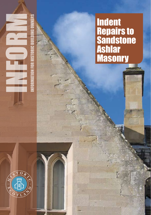Indent Repairs to **Sandstone** Ashlar **Masonry** 

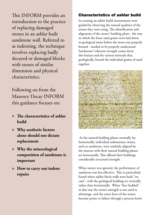This INFORM provides an introduction to the practice of replacing damaged stones in an ashlar built sandstone wall. Referred to as indenting, the technique involves replacing badly decayed or damaged blocks with stones of similar dimension and physical characteristics.

Following on from the Masonry Decay INFORM this guidance focuses on:

- **• The characteristics of ashlar build**
- **• Why aesthetic factors alone should not dictate replacement**
- **• Why the mineralogical composition of sandstone is important**
- **• How to carry out indent repairs**

# Characteristics of ashlar build

In creating an ashlar build stonemasons were guided by observing the natural qualities of the stones they were using. The identification and alignment of the stones' bedding plane - the way in which the loose sand grains were laid down in geological times before the stone was properly formed - needed to be properly understood. Sandstones' inherent strength comes form this feature and the various minerals that, geologically, bound the individual grains of sand together.



 As the natural bedding planes normally lay horizontally, individual sedimentary stones, such as sandstone, were similarly aligned by the masons with their natural bedding planes set horizontally. This offered their buildings considerable structural strength.

When nature was ignored, the performance of sandstone was less effective. This is particularly found where ashlar block walls were built "on cant", with the geological bedding set vertically, rather than horizontally. When "face bedded" in this way the stone's strength is not used to advantage, and the outer faces of the stones become prone to failure through a process know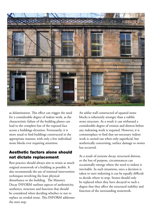

as delamination. This effect can trigger the need for a considerable degree of indent work, as the characteristic failure of the bedding planes can lead to the complete loss of the exposed face across a buildings elevation. Fortunately, it is more usual to find buildings constructed in the appropriate manner, with only a few individual stone blocks ever requiring attention.

## Aesthetic factors alone should not dictate replacement

Best practice should always aim to retain as much original stonework of a building as possible. It also recommends the use of minimal intervention techniques involving the least physical disturbance to the building. The Masonry Decay INFORM outlines aspects of authenticity, aesthetics, structure and function that should be considered when deciding whether or not to replace an eroded stone. This INFORM addresses the next step.

An ashlar wall constructed of squared stone blocks is inherently stronger than a rubble stone structure. As a result it can withstand a considerable degree of erosion and distress before any indenting work is required. However, it is commonplace to find that un-necessary indent work is carried out when only superficial, but aesthetically concerning, surface damage to stones has occurred.

As a result of extreme decay, structural distress, or the loss of purpose, circumstances can occasionally emerge where the need to indent is inevitable. In such situations, once a decision is taken to start indenting it can be equally difficult to decide where to stop. Stones should only be replaced when they have decayed to such a degree that they affect the structural stability and function of the surrounding stonework.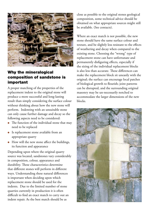

# Why the mineralogical composition of sandstone is important

A proper matching of the properties of the replacement indent to the original stone will produce a more successful and long-lasting result than simply considering the surface colour without thinking about how the new stone will perform. Indenting with an unsuitable stone can only cause further damage and decay so the following aspects need to be considered:

- $\bullet$  The function of the individual stone that may need to be replaced
- **•** Is replacement stone available from an appropriate quarry
- $\bullet$  How will the new stone affect the buildings, its function and appearance

Depending upon where the original quarry source was located, sandstones vary considerably in composition, colour, appearance and durability. These characteristics determine that different stones will perform in different ways. Understanding these natural differences is important when deciding upon which replacement stone should be used for the indents. Due to the limited number of stone quarries currently in production it is often difficult to find an exact match to carry out an indent repair. As the best match should be as

close as possible to the original stones geological composition, some technical advice should be obtained on what appropriate sources might still be available. (See contacts).

Where an exact match is not possible, the new stone should have the same surface colour and texture, and be slightly less resistant to the effects of weathering and decay when compared to the existing stone. Choosing the "wrong" type of replacement stone can have unfortunate and permanently disfiguring effects, especially if the sizing of the individual replacement blocks is also less than accurate. These differences can make the replacement block sit uneasily with the original; the surface can encourage local patches of biological growth to flourish; joint patterns can be disrupted, and the surrounding original masonry may be un-necessarily notched to accommodate the larger dimensions of the new blocks.

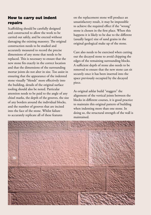# How to carry out indent repairs

Scaffolding should be carefully designed and constructed to allow the work to be carried out safely, and be erected without damaging the existing masonry. The original construction needs to be studied and accurately measured to record the precise dimensions of any stone that needs to be replaced. This is necessary to ensure that the new stone fits exactly in the correct location and that the dimensions of the surrounding mortar joints do not alter in size. Too assist in ensuring that the appearance of the indented stone visually "blends" more effectively into the building, details of the original surface tooling should also be noted. Particular attention needs to be paid to the angle of any chisel marks, the depth of the grooves, the size of any borders around the individual blocks, and the number of grooves that are incised into the face of the stone. Whilst failure to accurately replicate all of these features

on the replacement stone will produce an unsatisfactory result, it may be impossible to achieve the required effect if the "wrong" stone is chosen in the first place. When this happens it is likely to be due to the different (usually larger) size of sand grains in the original geological make up of the stone.

Care also needs to be exercised when cutting out the decayed stone to avoid chipping the edges of the remaining surrounding blocks. A sufficient depth of stone also needs to be removed to ensure that the new stone can sit securely once it has been inserted into the space previously occupied by the decayed piece.

As original ashlar build "staggers" the alignment of the vertical joints between the blocks in different courses, it is good practice to maintain this original pattern of building when indenting more than one stone. In doing so, the structural strength of the wall is maintained.

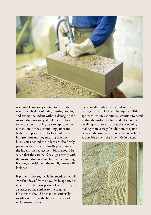

A reputable masonry contractor, with the relevant craft skills of sizing, cutting, tooling and setting the indent without damaging the surrounding masonry, should be employed to do the work. Taking care to replicate the dimensions of the surrounding joints and beds, the replacement blocks should be set in putty lime mortar, ensuring that any likely voids behind the indent are also firmly packed with mortar. In finally positioning the indent, the replacement block should be set so that the external face aligns evenly with the surrounding original face of the building. If wrongly positioned, the misalignment will look bad.

If properly chosen, newly indented stones will "weather down" from a raw, fresh, appearance in a reasonably short period of time to acquire a surface patina similar to the original. No attempt should be made to artificially weather or distress the finished surface of the replacement blocks.

Occasionally, only a partial indent of a damaged ashlar block will be required. This approach requires additional attention to detail so that the surface tooling and edge border detailing accurately matches the remaining tooling more closely. In addition, the joint between the two pieces should be cut as finely as possible to help the indent tie in better.

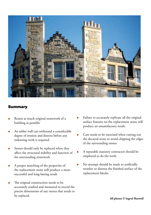

#### **Summary**

- Retain as much original stonework of a building as possible
- <sup>l</sup> An ashlar wall can withstand a considerable degree of erosion and distress before any indenting work is required
- Stones should only be replaced when they affect the structural stability and function of the surrounding stonework
- <sup>l</sup> A proper matching of the properties of the replacement stone will produce a more successful and long-lasting result
- The original construction needs to be accurately studied and measured to record the precise dimensions of any stones that needs to be replaced.
- Failure to accurately replicate all the original surface features on the replacement stone will produce an unsatisfactory result.
- Care needs to be exercised when cutting out the decayed stone to avoid chipping the edges of the surrounding stones
- <sup>l</sup> A reputable masonry contractor should be employed to do the work.
- No attempt should be made to artificially weather or distress the finished surface of the replacement blocks.